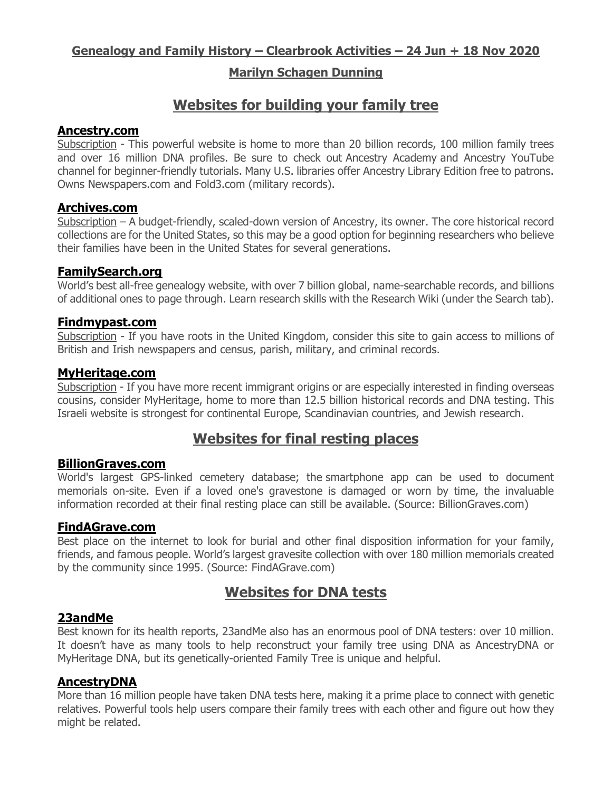## **Genealogy and Family History – Clearbrook Activities – 24 Jun + 18 Nov 2020**

## **Marilyn Schagen Dunning**

## **Websites for building your family tree**

#### **[Ancestry.com](http://www.ancestry.com/)**

Subscription - This powerful website is home to more than 20 billion records, 100 million family trees and over 16 million DNA profiles. Be sure to check out [Ancestry Academy](http://www.ancestry.com/academy) and Ancestry YouTube channel for beginner-friendly tutorials. Many U.S. libraries offer Ancestry Library Edition free to patrons. Owns Newspapers.com and Fold3.com (military records).

### **[Archives.com](http://www.archives.com/)**

Subscription – A budget-friendly, scaled-down version of Ancestry, its owner. The core historical record collections are for the United States, so this may be a good option for beginning researchers who believe their families have been in the United States for several generations.

## **[FamilySearch.org](http://www.familysearch.org/)**

World's best all-free genealogy website, with over 7 billion global, name-searchable records, and billions of additional ones to page through. Learn research skills with the Research Wiki (under the Search tab).

#### **[Findmypast.com](http://www.findmypast.com/)**

Subscription - If you have roots in the United Kingdom, consider this site to gain access to millions of British and Irish newspapers and census, parish, military, and criminal records.

#### **[MyHeritage.com](http://www.myheritage.com/)**

Subscription - If you have more recent immigrant origins or are especially interested in finding overseas cousins, consider MyHeritage, home to more than 12.5 billion historical records and DNA testing. This Israeli website is strongest for continental Europe, Scandinavian countries, and Jewish research.

# **Websites for final resting places**

#### **BillionGraves.com**

World's largest GPS-linked cemetery database; the smartphone app can be used to document memorials on-site. Even if a loved one's gravestone is damaged or worn by time, the invaluable information recorded at their final resting place can still be available. (Source: BillionGraves.com)

#### **[FindAGrave.com](http://www.23andme.com/)**

Best place on the internet to look for burial and other final disposition information for your family, friends, and famous people. World's largest gravesite collection with over 180 million memorials created by the community since 1995. (Source: FindAGrave.com)

## **Websites for DNA tests**

#### **[23andMe](http://www.23andme.com/)**

Best known for its health reports, 23andMe also has an enormous pool of DNA testers: over 10 million. It doesn't have as many tools to help reconstruct your family tree using DNA as AncestryDNA or MyHeritage DNA, but its genetically-oriented Family Tree is unique and helpful.

#### **[AncestryDNA](http://www.ancestry.com/dna)**

More than 16 million people have taken DNA tests here, making it a prime place to connect with genetic relatives. Powerful tools help users compare their family trees with each other and figure out how they might be related.